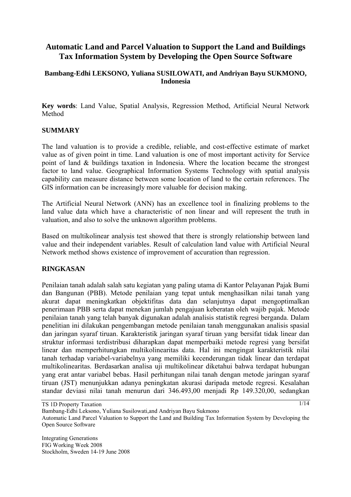# **Automatic Land and Parcel Valuation to Support the Land and Buildings Tax Information System by Developing the Open Source Software**

# **Bambang-Edhi LEKSONO, Yuliana SUSILOWATI, and Andriyan Bayu SUKMONO, Indonesia**

**Key words**: Land Value, Spatial Analysis, Regression Method, Artificial Neural Network Method

#### **SUMMARY**

The land valuation is to provide a credible, reliable, and cost-effective estimate of market value as of given point in time. Land valuation is one of most important activity for Service point of land & buildings taxation in Indonesia. Where the location became the strongest factor to land value. Geographical Information Systems Technology with spatial analysis capability can measure distance between some location of land to the certain references. The GIS information can be increasingly more valuable for decision making.

The Artificial Neural Network (ANN) has an excellence tool in finalizing problems to the land value data which have a characteristic of non linear and will represent the truth in valuation, and also to solve the unknown algorithm problems.

Based on multikolinear analysis test showed that there is strongly relationship between land value and their independent variables. Result of calculation land value with Artificial Neural Network method shows existence of improvement of accuration than regression.

#### **RINGKASAN**

Penilaian tanah adalah salah satu kegiatan yang paling utama di Kantor Pelayanan Pajak Bumi dan Bangunan (PBB). Metode penilaian yang tepat untuk menghasilkan nilai tanah yang akurat dapat meningkatkan objektifitas data dan selanjutnya dapat mengoptimalkan penerimaan PBB serta dapat menekan jumlah pengajuan keberatan oleh wajib pajak. Metode penilaian tanah yang telah banyak digunakan adalah analisis statistik regresi berganda. Dalam penelitian ini dilakukan pengembangan metode penilaian tanah menggunakan analisis spasial dan jaringan syaraf tiruan. Karakteristik jaringan syaraf tiruan yang bersifat tidak linear dan struktur informasi terdistribusi diharapkan dapat memperbaiki metode regresi yang bersifat linear dan memperhitungkan multikolinearitas data. Hal ini mengingat karakteristik nilai tanah terhadap variabel-variabelnya yang memiliki kecenderungan tidak linear dan terdapat multikolinearitas. Berdasarkan analisa uji multikolinear diketahui bahwa terdapat hubungan yang erat antar variabel bebas. Hasil perhitungan nilai tanah dengan metode jaringan syaraf tiruan (JST) menunjukkan adanya peningkatan akurasi daripada metode regresi. Kesalahan standar deviasi nilai tanah menurun dari 346.493.00 menjadi Rp 149.320.00, sedangkan

TS 1D Property Taxation

 $1/14$ 

Bambang-Edhi Leksono, Yuliana Susilowati,and Andriyan Bayu Sukmono

Automatic Land Parcel Valuation to Support the Land and Building Tax Information System by Developing the Open Source Software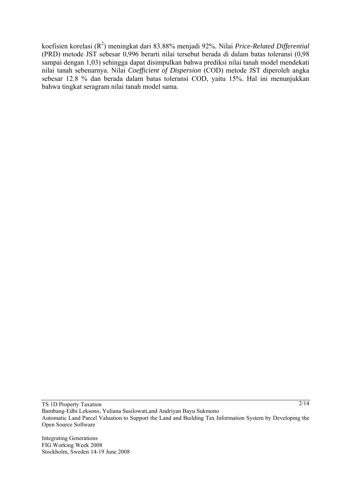koefisien korelasi (R<sup>2</sup>) meningkat dari 83.88% menjadi 92%. Nilai *Price-Related Differential* (PRD) metode JST sebesar 0,996 berarti nilai tersebut berada di dalam batas toleransi (0,98 sampai dengan 1,03) sehingga dapat disimpulkan bahwa prediksi nilai tanah model mendekati nilai tanah sebenarnya. Nilai *Coefficient of Dispersion* (COD) metode JST diperoleh angka sebesar 12.8 % dan berada dalam batas toleransi COD, yaitu 15%. Hal ini menunjukkan bahwa tingkat seragram nilai tanah model sama.

TS 1D Property Taxation Bambang-Edhi Leksono, Yuliana Susilowati,and Andriyan Bayu Sukmono Automatic Land Parcel Valuation to Support the Land and Building Tax Information System by Developing the Open Source Software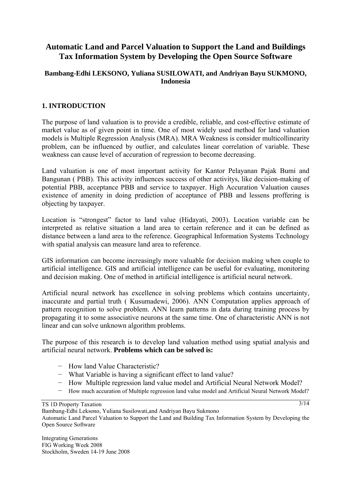# **Automatic Land and Parcel Valuation to Support the Land and Buildings Tax Information System by Developing the Open Source Software**

# **Bambang-Edhi LEKSONO, Yuliana SUSILOWATI, and Andriyan Bayu SUKMONO, Indonesia**

# **1. INTRODUCTION**

The purpose of land valuation is to provide a credible, reliable, and cost-effective estimate of market value as of given point in time. One of most widely used method for land valuation models is Multiple Regression Analysis (MRA). MRA Weakness is consider multicollinearity problem, can be influenced by outlier, and calculates linear correlation of variable. These weakness can cause level of accuration of regression to become decreasing.

Land valuation is one of most important activity for Kantor Pelayanan Pajak Bumi and Bangunan ( PBB). This activity influences success of other activitys, like decision-making of potential PBB, acceptance PBB and service to taxpayer. High Accuration Valuation causes existence of amenity in doing prediction of acceptance of PBB and lessens proffering is objecting by taxpayer.

Location is "strongest" factor to land value (Hidayati, 2003). Location variable can be interpreted as relative situation a land area to certain reference and it can be defined as distance between a land area to the reference. Geographical Information Systems Technology with spatial analysis can measure land area to reference.

GIS information can become increasingly more valuable for decision making when couple to artificial intelligence. GIS and artificial intelligence can be useful for evaluating, monitoring and decision making. One of method in artificial intelligence is artificial neural network.

Artificial neural network has excellence in solving problems which contains uncertainty, inaccurate and partial truth ( Kusumadewi, 2006). ANN Computation applies approach of pattern recognition to solve problem. ANN learn patterns in data during training process by propagating it to some associative neurons at the same time. One of characteristic ANN is not linear and can solve unknown algorithm problems.

The purpose of this research is to develop land valuation method using spatial analysis and artificial neural network. **Problems which can be solved is:** 

- − How land Value Characteristic?
- − What Variable is having a significant effect to land value?
- − How Multiple regression land value model and Artificial Neural Network Model?
- − How much accuration of Multiple regression land value model and Artificial Neural Network Model?

 $3/14$ 

TS 1D Property Taxation

Bambang-Edhi Leksono, Yuliana Susilowati,and Andriyan Bayu Sukmono

Automatic Land Parcel Valuation to Support the Land and Building Tax Information System by Developing the Open Source Software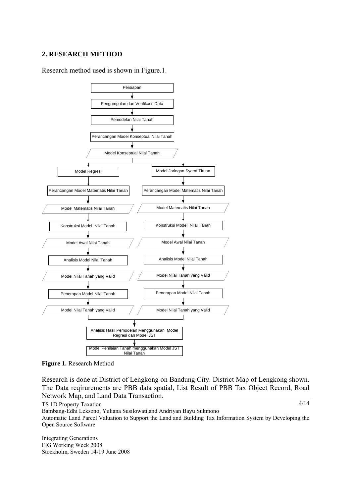#### **2. RESEARCH METHOD**

Research method used is shown in Figure.1.



**Figure 1.** Research Method

Research is done at District of Lengkong on Bandung City. District Map of Lengkong shown. The Data reqirurements are PBB data spatial, List Result of PBB Tax Object Record, Road Network Map, and Land Data Transaction.

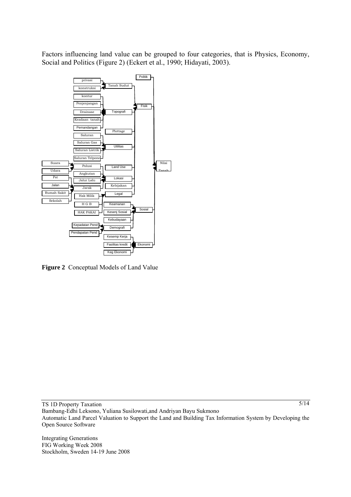Factors influencing land value can be grouped to four categories, that is Physics, Economy, Social and Politics (Figure 2) (Eckert et al., 1990; Hidayati, 2003).



**Figure 2** Conceptual Models of Land Value

TS 1D Property Taxation

5/14

Bambang-Edhi Leksono, Yuliana Susilowati,and Andriyan Bayu Sukmono Automatic Land Parcel Valuation to Support the Land and Building Tax Information System by Developing the Open Source Software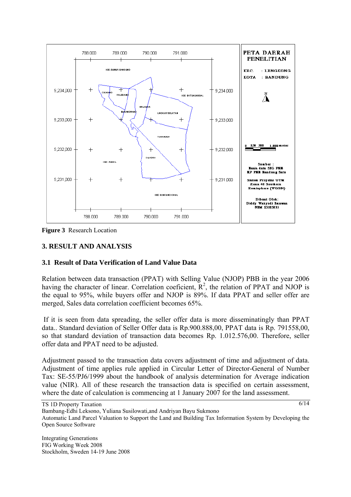

**Figure 3** Research Location

# **3. RESULT AND ANALYSIS**

### **3.1 Result of Data Verification of Land Value Data**

Relation between data transaction (PPAT) with Selling Value (NJOP) PBB in the year 2006 having the character of linear. Correlation coeficient,  $R^2$ , the relation of PPAT and NJOP is the equal to 95%, while buyers offer and NJOP is 89%. If data PPAT and seller offer are merged, Sales data correlation coefficient becomes 65%.

 If it is seen from data spreading, the seller offer data is more disseminatingly than PPAT data.. Standard deviation of Seller Offer data is Rp.900.888,00, PPAT data is Rp. 791558,00, so that standard deviation of transaction data becomes Rp. 1.012.576,00. Therefore, seller offer data and PPAT need to be adjusted.

Adjustment passed to the transaction data covers adjustment of time and adjustment of data. Adjustment of time applies rule applied in Circular Letter of Director-General of Number Tax: SE-55/PJ6/1999 about the handbook of analysis determination for Average indication value (NIR). All of these research the transaction data is specified on certain assessment, where the date of calculation is commencing at 1 January 2007 for the land assessment.

TS 1D Property Taxation

 $6/14$ 

Bambang-Edhi Leksono, Yuliana Susilowati,and Andriyan Bayu Sukmono

Automatic Land Parcel Valuation to Support the Land and Building Tax Information System by Developing the Open Source Software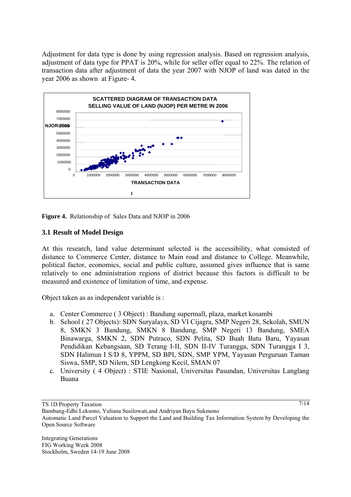Adjustment for data type is done by using regression analysis. Based on regression analysis, adjustment of data type for PPAT is 20%, while for seller offer equal to 22%. The relation of transaction data after adjustment of data the year 2007 with NJOP of land was dated in the year 2006 as shown at Figure- 4.



**Figure 4.** Relationship of Sales Data and NJOP in 2006

# **3.1 Result of Model Design**

At this research, land value determinant selected is the accessibility, what consisted of distance to Commerce Center, distance to Main road and distance to College. Meanwhile, political factor, economics, social and public culture, assumed gives influence that is same relatively to one administration regions of district because this factors is difficult to be measured and existence of limitation of time, and expense.

Object taken as as independent variable is :

- a. Center Commerce ( 3 Object) : Bandung supermall, plaza, market kosambi
- b. School ( 27 Objects): SDN Suryalaya, SD VI Cijagra, SMP Negeri 28, Sekolah, SMUN 8, SMKN 3 Bandung, SMKN 8 Bandung, SMP Negeri 13 Bandung, SMEA Binawarga, SMKN 2, SDN Putraco, SDN Pelita, SD Buah Batu Baru, Yayasan Pendidikan Kebangsaan, SD Terang I-II, SDN II-IV Turangga, SDN Turangga I 3, SDN Halimun I S/D 8, YPPM, SD BPI, SDN, SMP YPM, Yayasan Perguruan Taman Siswa, SMP, SD Nilem, SD Lengkong Kecil, SMAN 07
- c. University ( 4 Object) : STIE Nasional, Universitas Pasundan, Universitas Langlang Buana

TS 1D Property Taxation

<sup>7/14</sup>

Bambang-Edhi Leksono, Yuliana Susilowati,and Andriyan Bayu Sukmono

Automatic Land Parcel Valuation to Support the Land and Building Tax Information System by Developing the Open Source Software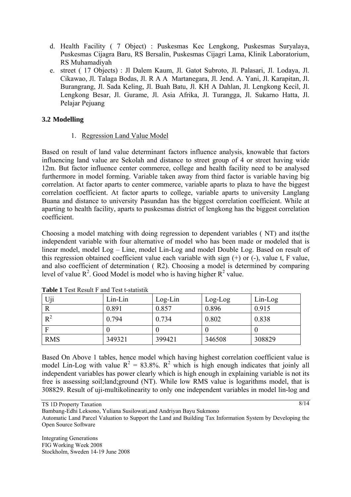- d. Health Facility ( 7 Object) : Puskesmas Kec Lengkong, Puskesmas Suryalaya, Puskesmas Cijagra Baru, RS Bersalin, Puskesmas Cijagri Lama, Klinik Laboratorium, RS Muhamadiyah
- e. street ( 17 Objects) : Jl Dalem Kaum, Jl. Gatot Subroto, Jl. Palasari, Jl. Lodaya, Jl. Cikawao, Jl. Talaga Bodas, Jl. R A A Martanegara, Jl. Jend. A. Yani, Jl. Karapitan, Jl. Burangrang, Jl. Sada Keling, Jl. Buah Batu, Jl. KH A Dahlan, Jl. Lengkong Kecil, Jl. Lengkong Besar, Jl. Gurame, Jl. Asia Afrika, Jl. Turangga, Jl. Sukarno Hatta, Jl. Pelajar Pejuang

# **3.2 Modelling**

### 1. Regression Land Value Model

Based on result of land value determinant factors influence analysis, knowable that factors influencing land value are Sekolah and distance to street group of 4 or street having wide 12m. But factor influence center commerce, college and health facility need to be analysed furthermore in model forming. Variable taken away from third factor is variable having big correlation. At factor aparts to center commerce, variable aparts to plaza to have the biggest correlation coefficient. At factor aparts to college, variable aparts to university Langlang Buana and distance to university Pasundan has the biggest correlation coefficient. While at aparting to health facility, aparts to puskesmas district of lengkong has the biggest correlation coefficient.

Choosing a model matching with doing regression to dependent variables ( NT) and its(the independent variable with four alternative of model who has been made or modeled that is linear model, model Log – Line, model Lin-Log and model Double Log. Based on result of this regression obtained coefficient value each variable with sign (+) or (-), value t, F value, and also coefficient of determination ( R2). Choosing a model is determined by comparing level of value  $R^2$ . Good Model is model who is having higher  $R^2$  value.

| Uji        | $Lin-Lin$ | $Log-Lin$ | $Log-Log$ | $Lin-Log$ |
|------------|-----------|-----------|-----------|-----------|
|            | 0.891     | 0.857     | 0.896     | 0.915     |
| $R^2$      | 0.794     | 0.734     | 0.802     | 0.838     |
|            |           |           |           |           |
| <b>RMS</b> | 349321    | 399421    | 346508    | 308829    |

**Table 1** Test Result F and Test t-statistik

Based On Above 1 tables, hence model which having highest correlation coefficient value is model Lin-Log with value  $R^2 = 83.8\%$ .  $R^2$  which is high enough indicates that joinly all independent variables has power clearly which is high enough in explaining variable is not its free is assessing soil;land;ground (NT). While low RMS value is logarithms model, that is 308829. Result of uji-multikolinearity to only one independent variables in model lin-log and

TS 1D Property Taxation

Bambang-Edhi Leksono, Yuliana Susilowati,and Andriyan Bayu Sukmono

Automatic Land Parcel Valuation to Support the Land and Building Tax Information System by Developing the Open Source Software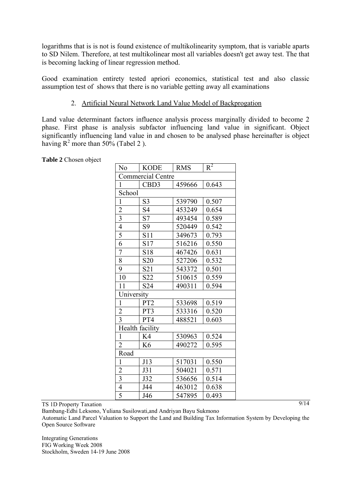logarithms that is is not is found existence of multikolinearity symptom, that is variable aparts to SD Nilem. Therefore, at test multikolinear most all variables doesn't get away test. The that is becoming lacking of linear regression method.

Good examination entirety tested apriori economics, statistical test and also classic assumption test of shows that there is no variable getting away all examinations

# 2. Artificial Neural Network Land Value Model of Backprogation

Land value determinant factors influence analysis process marginally divided to become 2 phase. First phase is analysis subfactor influencing land value in significant. Object significantly influencing land value in and chosen to be analysed phase hereinafter is object having  $R^2$  more than 50% (Tabel 2).

| N <sub>0</sub>          | <b>KODE</b>              | <b>RMS</b> | $\overline{R^2}$ |  |
|-------------------------|--------------------------|------------|------------------|--|
|                         | <b>Commercial Centre</b> |            |                  |  |
| 1                       | CBD3                     | 459666     | 0.643            |  |
|                         | School                   |            |                  |  |
| $\mathbf{1}$            | S <sub>3</sub>           | 539790     | 0.507            |  |
| $\overline{c}$          | S4                       | 453249     | 0.654            |  |
| $\overline{\mathbf{3}}$ | S7                       | 493454     | 0.589            |  |
| $\overline{4}$          | S9                       | 520449     | 0.542            |  |
| 5                       | S11                      | 349673     | 0.793            |  |
| 6                       | S17                      | 516216     | 0.550            |  |
| $\overline{7}$          | S18                      | 467426     | 0.631            |  |
| 8                       | S <sub>20</sub>          | 527206     | 0.532            |  |
| 9                       | S <sub>21</sub>          | 543372     | 0.501            |  |
| 10                      | S22                      | 510615     | 0.559            |  |
| 11                      | S24                      | 490311     | 0.594            |  |
| University              |                          |            |                  |  |
| $\mathbf{1}$            | PT <sub>2</sub>          | 533698     | 0.519            |  |
| $\overline{2}$          | PT3                      | 533316     | 0.520            |  |
| $\overline{3}$          | PT4                      | 488521     | 0.603            |  |
|                         | Health facility          |            |                  |  |
| $\mathbf{1}$            | K4                       | 530963     | 0.524            |  |
| $\overline{2}$          | K6                       | 490272     | 0.595            |  |
| Road                    |                          |            |                  |  |
| $\mathbf{1}$            | J13                      | 517031     | 0.550            |  |
| $\overline{2}$          | J31                      | 504021     | 0.571            |  |
| $\overline{3}$          | J32                      | 536656     | 0.514            |  |
| $\overline{4}$          | J44                      | 463012     | 0.638            |  |
| 5                       | J46                      | 547895     | 0.493            |  |
|                         |                          |            |                  |  |

**Table 2** Chosen object

TS 1D Property Taxation

Bambang-Edhi Leksono, Yuliana Susilowati,and Andriyan Bayu Sukmono

Automatic Land Parcel Valuation to Support the Land and Building Tax Information System by Developing the Open Source Software

Integrating Generations FIG Working Week 2008 Stockholm, Sweden 14-19 June 2008  $9/14$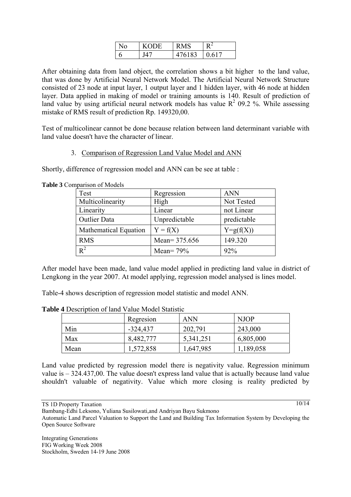| <b>KODE</b> | RMS   |       |
|-------------|-------|-------|
|             | 76183 | 0.617 |

After obtaining data from land object, the correlation shows a bit higher to the land value, that was done by Artificial Neural Network Model. The Artificial Neural Network Structure consisted of 23 node at input layer, 1 output layer and 1 hidden layer, with 46 node at hidden layer. Data applied in making of model or training amounts is 140. Result of prediction of land value by using artificial neural network models has value  $R^2$  09.2 %. While assessing mistake of RMS result of prediction Rp. 149320,00.

Test of multicolinear cannot be done because relation between land determinant variable with land value doesn't have the character of linear.

# 3. Comparison of Regression Land Value Model and ANN

Shortly, difference of regression model and ANN can be see at table :

| Test                  | Regression    | <b>ANN</b>    |
|-----------------------|---------------|---------------|
| Multicolinearity      | High          | Not Tested    |
| Linearity             | Linear        | not Linear    |
| <b>Outlier Data</b>   | Unpredictable | predictable   |
| Mathematical Equation | $Y = f(X)$    | $Y = g(f(X))$ |
| <b>RMS</b>            | Mean= 375.656 | 149.320       |
| $R^2$                 | Mean= $79\%$  | 92%           |

**Table 3** Comparison of Models

After model have been made, land value model applied in predicting land value in district of Lengkong in the year 2007. At model applying, regression model analysed is lines model.

Table-4 shows description of regression model statistic and model ANN.

|      | Regresion  | <b>ANN</b> | <b>NJOP</b> |
|------|------------|------------|-------------|
| Min  | $-324,437$ | 202,791    | 243,000     |
| Max  | 8,482,777  | 5,341,251  | 6,805,000   |
| Mean | 1,572,858  | 1,647,985  | 1,189,058   |

**Table 4** Description of land Value Model Statistic

Land value predicted by regression model there is negativity value. Regression minimum value is – 324.437,00. The value doesn't express land value that is actually because land value shouldn't valuable of negativity. Value which more closing is reality predicted by

TS 1D Property Taxation

Integrating Generations FIG Working Week 2008 Stockholm, Sweden 14-19 June 2008 10/14

Bambang-Edhi Leksono, Yuliana Susilowati,and Andriyan Bayu Sukmono

Automatic Land Parcel Valuation to Support the Land and Building Tax Information System by Developing the Open Source Software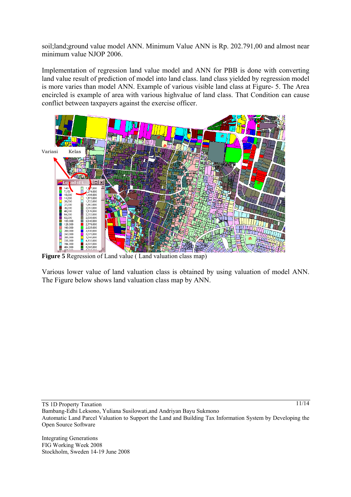soil;land;ground value model ANN. Minimum Value ANN is Rp. 202.791,00 and almost near minimum value NJOP 2006.

Implementation of regression land value model and ANN for PBB is done with converting land value result of prediction of model into land class. land class yielded by regression model is more varies than model ANN. Example of various visible land class at Figure- 5. The Area encircled is example of area with various highvalue of land class. That Condition can cause conflict between taxpayers against the exercise officer.



**Figure 5** Regression of Land value ( Land valuation class map)

Various lower value of land valuation class is obtained by using valuation of model ANN. The Figure below shows land valuation class map by ANN.

TS 1D Property Taxation

11/14

Bambang-Edhi Leksono, Yuliana Susilowati,and Andriyan Bayu Sukmono Automatic Land Parcel Valuation to Support the Land and Building Tax Information System by Developing the Open Source Software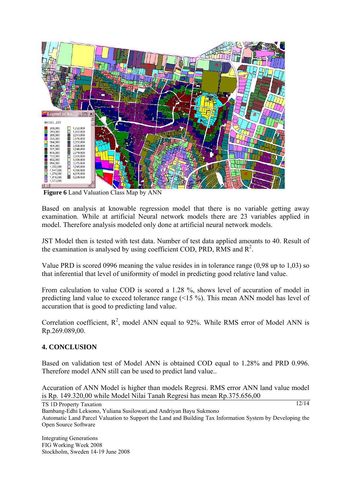

 **Figure 6** Land Valuation Class Map by ANN

Based on analysis at knowable regression model that there is no variable getting away examination. While at artificial Neural network models there are 23 variables applied in model. Therefore analysis modeled only done at artificial neural network models.

JST Model then is tested with test data. Number of test data applied amounts to 40. Result of the examination is analysed by using coefficient COD, PRD, RMS and  $R^2$ .

Value PRD is scored 0996 meaning the value resides in in tolerance range (0,98 up to 1,03) so that inferential that level of uniformity of model in predicting good relative land value.

From calculation to value COD is scored a 1.28 %, shows level of accuration of model in predicting land value to exceed tolerance range (<15 %). This mean ANN model has level of accuration that is good to predicting land value.

Correlation coefficient,  $R^2$ , model ANN equal to 92%. While RMS error of Model ANN is Rp.269.089,00.

### **4. CONCLUSION**

Based on validation test of Model ANN is obtained COD equal to 1.28% and PRD 0.996. Therefore model ANN still can be used to predict land value..

Accuration of ANN Model is higher than models Regresi. RMS error ANN land value model is Rp. 149.320,00 while Model Nilai Tanah Regresi has mean Rp.375.656,00

TS 1D Property Taxation

12/14

Bambang-Edhi Leksono, Yuliana Susilowati,and Andriyan Bayu Sukmono

Automatic Land Parcel Valuation to Support the Land and Building Tax Information System by Developing the Open Source Software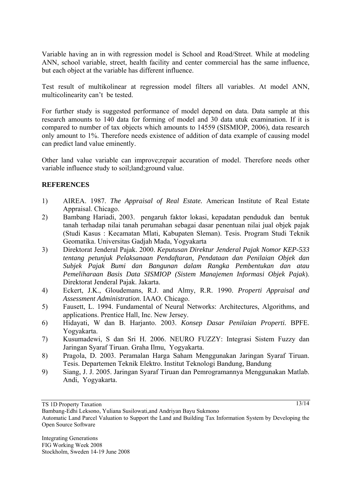Variable having an in with regression model is School and Road/Street. While at modeling ANN, school variable, street, health facility and center commercial has the same influence, but each object at the variable has different influence.

Test result of multikolinear at regression model filters all variables. At model ANN, multicolinearity can't be tested.

For further study is suggested performance of model depend on data. Data sample at this research amounts to 140 data for forming of model and 30 data utuk examination. If it is compared to number of tax objects which amounts to 14559 (SISMIOP, 2006), data research only amount to 1%. Therefore needs existence of addition of data example of causing model can predict land value eminently.

Other land value variable can improve;repair accuration of model. Therefore needs other variable influence study to soil;land;ground value.

### **REFERENCES**

- 1) AIREA. 1987. *The Appraisal of Real Estate.* American Institute of Real Estate Appraisal. Chicago.
- 2) Bambang Hariadi, 2003. pengaruh faktor lokasi, kepadatan penduduk dan bentuk tanah terhadap nilai tanah perumahan sebagai dasar penentuan nilai jual objek pajak (Studi Kasus : Kecamatan Mlati, Kabupaten Sleman). Tesis. Program Studi Teknik Geomatika. Universitas Gadjah Mada, Yogyakarta
- 3) Direktorat Jenderal Pajak. 2000. *Keputusan Direktur Jenderal Pajak Nomor KEP-533 tentang petunjuk Pelaksanaan Pendaftaran, Pendataan dan Penilaian Objek dan Subjek Pajak Bumi dan Bangunan dalam Rangka Pembentukan dan atau Pemeliharaan Basis Data SISMIOP (Sistem Manajemen Informasi Objek Pajak*). Direktorat Jenderal Pajak. Jakarta.
- 4) Eckert, J.K., Gloudemans, R.J. and Almy, R.R. 1990. *Properti Appraisal and Assessment Administration*. IAAO. Chicago.
- 5) Fausett, L. 1994. Fundamental of Neural Networks: Architectures, Algorithms, and applications. Prentice Hall, Inc. New Jersey.
- 6) Hidayati, W dan B. Harjanto. 2003. *Konsep Dasar Penilaian Properti.* BPFE. Yogyakarta.
- 7) Kusumadewi, S dan Sri H. 2006. NEURO FUZZY: Integrasi Sistem Fuzzy dan Jaringan Syaraf Tiruan. Graha Ilmu, Yogyakarta.
- 8) Pragola, D. 2003. Peramalan Harga Saham Menggunakan Jaringan Syaraf Tiruan. Tesis. Departemen Teknik Elektro. Institut Teknologi Bandung, Bandung
- 9) Siang, J. J. 2005. Jaringan Syaraf Tiruan dan Pemrogramannya Menggunakan Matlab. Andi, Yogyakarta.

13/14

TS 1D Property Taxation

Bambang-Edhi Leksono, Yuliana Susilowati,and Andriyan Bayu Sukmono

Automatic Land Parcel Valuation to Support the Land and Building Tax Information System by Developing the Open Source Software